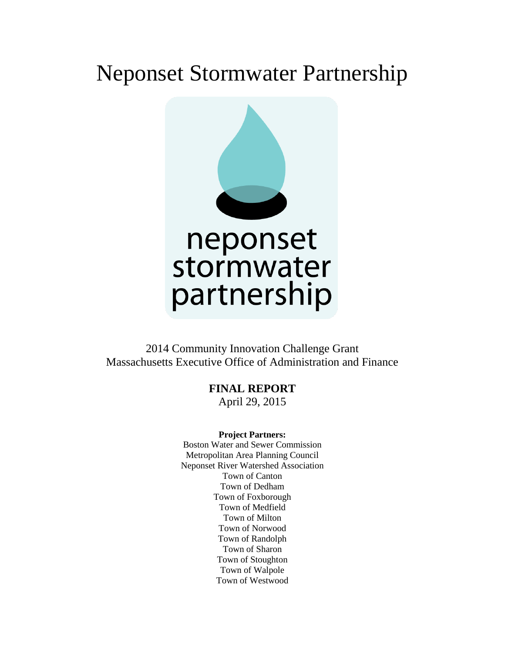# Neponset Stormwater Partnership



2014 Community Innovation Challenge Grant Massachusetts Executive Office of Administration and Finance

**FINAL REPORT**

April 29, 2015

#### **Project Partners:**

Boston Water and Sewer Commission Metropolitan Area Planning Council Neponset River Watershed Association Town of Canton Town of Dedham Town of Foxborough Town of Medfield Town of Milton Town of Norwood Town of Randolph Town of Sharon Town of Stoughton Town of Walpole Town of Westwood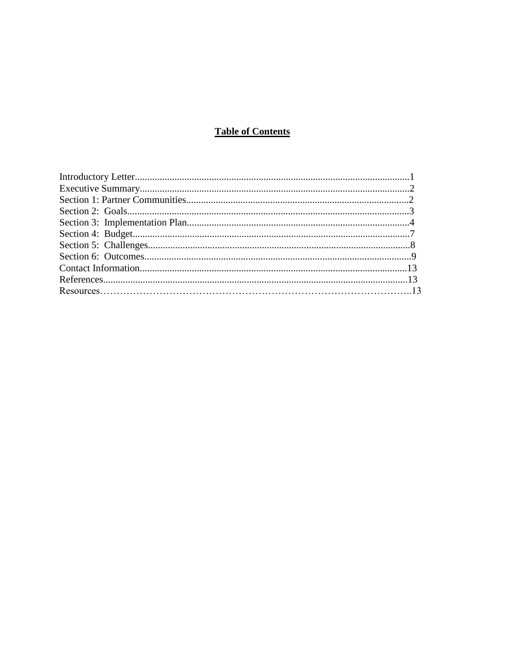## **Table of Contents**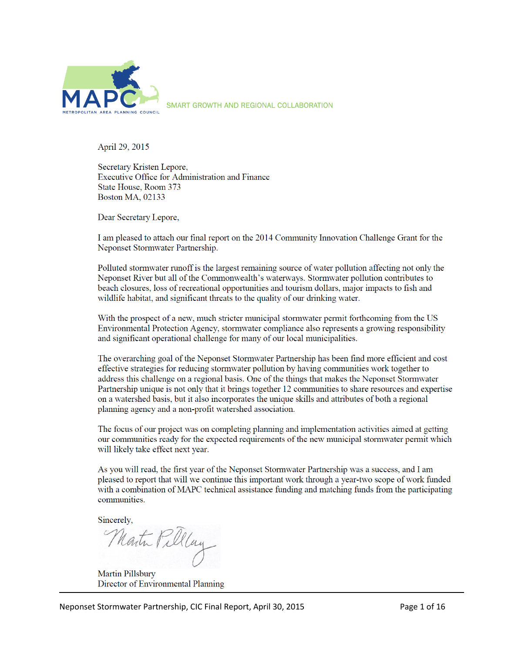

SMART GROWTH AND REGIONAL COLLABORATION

April 29, 2015

Secretary Kristen Lepore, Executive Office for Administration and Finance State House, Room 373 **Boston MA, 02133** 

Dear Secretary Lepore,

I am pleased to attach our final report on the 2014 Community Innovation Challenge Grant for the Neponset Stormwater Partnership.

Polluted stormwater runoff is the largest remaining source of water pollution affecting not only the Neponset River but all of the Commonwealth's waterways. Stormwater pollution contributes to beach closures, loss of recreational opportunities and tourism dollars, major impacts to fish and wildlife habitat, and significant threats to the quality of our drinking water.

With the prospect of a new, much stricter municipal stormwater permit forthcoming from the US Environmental Protection Agency, stormwater compliance also represents a growing responsibility and significant operational challenge for many of our local municipalities.

The overarching goal of the Neponset Stormwater Partnership has been find more efficient and cost effective strategies for reducing stormwater pollution by having communities work together to address this challenge on a regional basis. One of the things that makes the Neponset Stormwater Partnership unique is not only that it brings together 12 communities to share resources and expertise on a watershed basis, but it also incorporates the unique skills and attributes of both a regional planning agency and a non-profit watershed association.

The focus of our project was on completing planning and implementation activities aimed at getting our communities ready for the expected requirements of the new municipal stormwater permit which will likely take effect next year.

As you will read, the first year of the Neponset Stormwater Partnership was a success, and I am pleased to report that will we continue this important work through a year-two scope of work funded with a combination of MAPC technical assistance funding and matching funds from the participating communities.

Sincerely,

Martin Pillay

Martin Pillsbury Director of Environmental Planning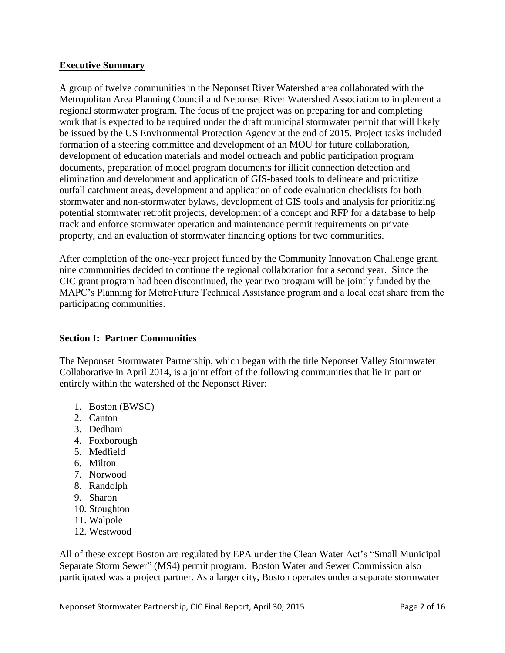#### **Executive Summary**

A group of twelve communities in the Neponset River Watershed area collaborated with the Metropolitan Area Planning Council and Neponset River Watershed Association to implement a regional stormwater program. The focus of the project was on preparing for and completing work that is expected to be required under the draft municipal stormwater permit that will likely be issued by the US Environmental Protection Agency at the end of 2015. Project tasks included formation of a steering committee and development of an MOU for future collaboration, development of education materials and model outreach and public participation program documents, preparation of model program documents for illicit connection detection and elimination and development and application of GIS-based tools to delineate and prioritize outfall catchment areas, development and application of code evaluation checklists for both stormwater and non-stormwater bylaws, development of GIS tools and analysis for prioritizing potential stormwater retrofit projects, development of a concept and RFP for a database to help track and enforce stormwater operation and maintenance permit requirements on private property, and an evaluation of stormwater financing options for two communities.

After completion of the one-year project funded by the Community Innovation Challenge grant, nine communities decided to continue the regional collaboration for a second year. Since the CIC grant program had been discontinued, the year two program will be jointly funded by the MAPC's Planning for MetroFuture Technical Assistance program and a local cost share from the participating communities.

#### **Section I: Partner Communities**

The Neponset Stormwater Partnership, which began with the title Neponset Valley Stormwater Collaborative in April 2014, is a joint effort of the following communities that lie in part or entirely within the watershed of the Neponset River:

- 1. Boston (BWSC)
- 2. Canton
- 3. Dedham
- 4. Foxborough
- 5. Medfield
- 6. Milton
- 7. Norwood
- 8. Randolph
- 9. Sharon
- 10. Stoughton
- 11. Walpole
- 12. Westwood

All of these except Boston are regulated by EPA under the Clean Water Act's "Small Municipal Separate Storm Sewer" (MS4) permit program. Boston Water and Sewer Commission also participated was a project partner. As a larger city, Boston operates under a separate stormwater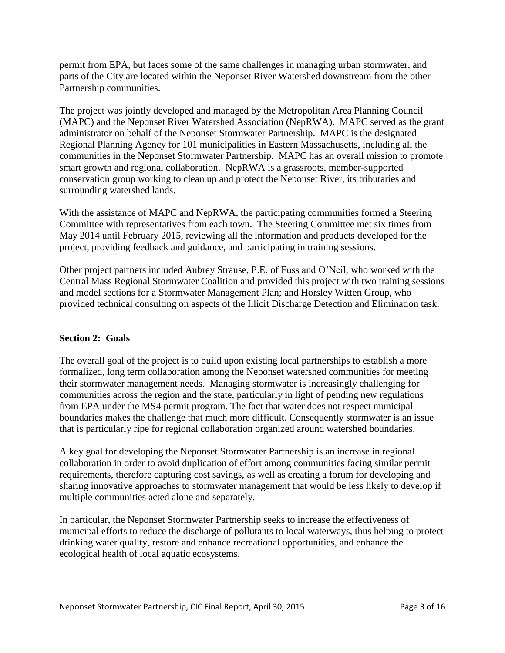permit from EPA, but faces some of the same challenges in managing urban stormwater, and parts of the City are located within the Neponset River Watershed downstream from the other Partnership communities.

The project was jointly developed and managed by the Metropolitan Area Planning Council (MAPC) and the Neponset River Watershed Association (NepRWA). MAPC served as the grant administrator on behalf of the Neponset Stormwater Partnership. MAPC is the designated Regional Planning Agency for 101 municipalities in Eastern Massachusetts, including all the communities in the Neponset Stormwater Partnership. MAPC has an overall mission to promote smart growth and regional collaboration. NepRWA is a grassroots, member-supported conservation group working to clean up and protect the Neponset River, its tributaries and surrounding watershed lands.

With the assistance of MAPC and NepRWA, the participating communities formed a Steering Committee with representatives from each town. The Steering Committee met six times from May 2014 until February 2015, reviewing all the information and products developed for the project, providing feedback and guidance, and participating in training sessions.

Other project partners included Aubrey Strause, P.E. of Fuss and O'Neil, who worked with the Central Mass Regional Stormwater Coalition and provided this project with two training sessions and model sections for a Stormwater Management Plan; and Horsley Witten Group, who provided technical consulting on aspects of the Illicit Discharge Detection and Elimination task.

## **Section 2: Goals**

The overall goal of the project is to build upon existing local partnerships to establish a more formalized, long term collaboration among the Neponset watershed communities for meeting their stormwater management needs. Managing stormwater is increasingly challenging for communities across the region and the state, particularly in light of pending new regulations from EPA under the MS4 permit program. The fact that water does not respect municipal boundaries makes the challenge that much more difficult. Consequently stormwater is an issue that is particularly ripe for regional collaboration organized around watershed boundaries.

A key goal for developing the Neponset Stormwater Partnership is an increase in regional collaboration in order to avoid duplication of effort among communities facing similar permit requirements, therefore capturing cost savings, as well as creating a forum for developing and sharing innovative approaches to stormwater management that would be less likely to develop if multiple communities acted alone and separately.

In particular, the Neponset Stormwater Partnership seeks to increase the effectiveness of municipal efforts to reduce the discharge of pollutants to local waterways, thus helping to protect drinking water quality, restore and enhance recreational opportunities, and enhance the ecological health of local aquatic ecosystems.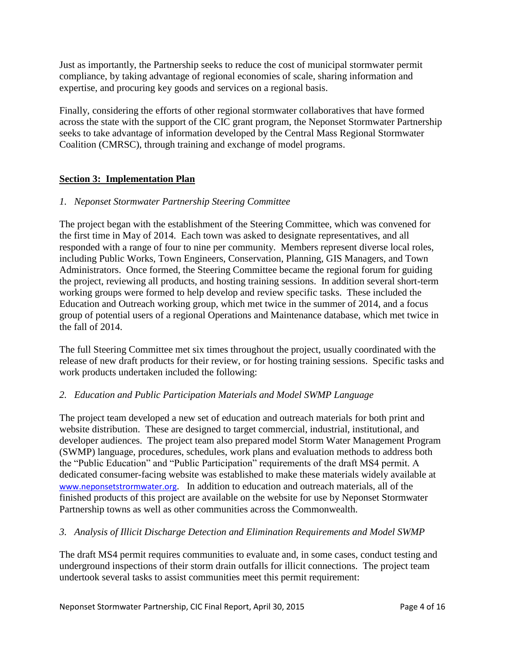Just as importantly, the Partnership seeks to reduce the cost of municipal stormwater permit compliance, by taking advantage of regional economies of scale, sharing information and expertise, and procuring key goods and services on a regional basis.

Finally, considering the efforts of other regional stormwater collaboratives that have formed across the state with the support of the CIC grant program, the Neponset Stormwater Partnership seeks to take advantage of information developed by the Central Mass Regional Stormwater Coalition (CMRSC), through training and exchange of model programs.

## **Section 3: Implementation Plan**

## *1. Neponset Stormwater Partnership Steering Committee*

The project began with the establishment of the Steering Committee, which was convened for the first time in May of 2014. Each town was asked to designate representatives, and all responded with a range of four to nine per community. Members represent diverse local roles, including Public Works, Town Engineers, Conservation, Planning, GIS Managers, and Town Administrators. Once formed, the Steering Committee became the regional forum for guiding the project, reviewing all products, and hosting training sessions. In addition several short-term working groups were formed to help develop and review specific tasks. These included the Education and Outreach working group, which met twice in the summer of 2014, and a focus group of potential users of a regional Operations and Maintenance database, which met twice in the fall of 2014.

The full Steering Committee met six times throughout the project, usually coordinated with the release of new draft products for their review, or for hosting training sessions. Specific tasks and work products undertaken included the following:

## *2. Education and Public Participation Materials and Model SWMP Language*

The project team developed a new set of education and outreach materials for both print and website distribution. These are designed to target commercial, industrial, institutional, and developer audiences. The project team also prepared model Storm Water Management Program (SWMP) language, procedures, schedules, work plans and evaluation methods to address both the "Public Education" and "Public Participation" requirements of the draft MS4 permit. A dedicated consumer-facing website was established to make these materials widely available at [www.neponsetstrormwater.org](http://www.neponsetstrormwater.org/). In addition to education and outreach materials, all of the finished products of this project are available on the website for use by Neponset Stormwater Partnership towns as well as other communities across the Commonwealth.

## *3. Analysis of Illicit Discharge Detection and Elimination Requirements and Model SWMP*

The draft MS4 permit requires communities to evaluate and, in some cases, conduct testing and underground inspections of their storm drain outfalls for illicit connections. The project team undertook several tasks to assist communities meet this permit requirement: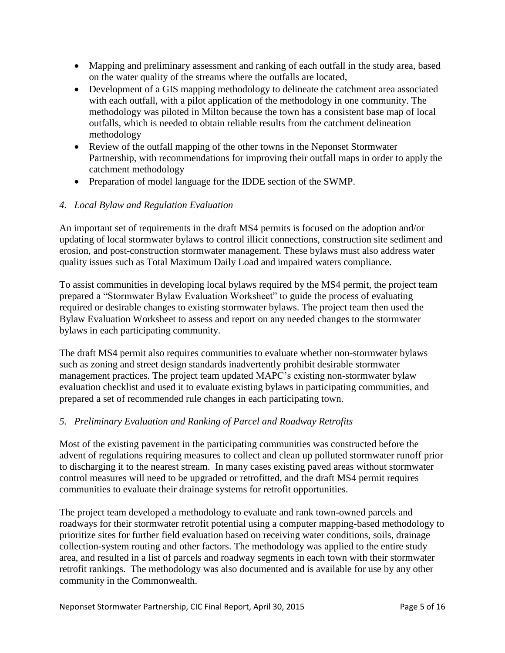- Mapping and preliminary assessment and ranking of each outfall in the study area, based on the water quality of the streams where the outfalls are located,
- Development of a GIS mapping methodology to delineate the catchment area associated with each outfall, with a pilot application of the methodology in one community. The methodology was piloted in Milton because the town has a consistent base map of local outfalls, which is needed to obtain reliable results from the catchment delineation methodology
- Review of the outfall mapping of the other towns in the Neponset Stormwater Partnership, with recommendations for improving their outfall maps in order to apply the catchment methodology
- Preparation of model language for the IDDE section of the SWMP.

## *4. Local Bylaw and Regulation Evaluation*

An important set of requirements in the draft MS4 permits is focused on the adoption and/or updating of local stormwater bylaws to control illicit connections, construction site sediment and erosion, and post-construction stormwater management. These bylaws must also address water quality issues such as Total Maximum Daily Load and impaired waters compliance.

To assist communities in developing local bylaws required by the MS4 permit, the project team prepared a "Stormwater Bylaw Evaluation Worksheet" to guide the process of evaluating required or desirable changes to existing stormwater bylaws. The project team then used the Bylaw Evaluation Worksheet to assess and report on any needed changes to the stormwater bylaws in each participating community.

The draft MS4 permit also requires communities to evaluate whether non-stormwater bylaws such as zoning and street design standards inadvertently prohibit desirable stormwater management practices. The project team updated MAPC's existing non-stormwater bylaw evaluation checklist and used it to evaluate existing bylaws in participating communities, and prepared a set of recommended rule changes in each participating town.

#### *5. Preliminary Evaluation and Ranking of Parcel and Roadway Retrofits*

Most of the existing pavement in the participating communities was constructed before the advent of regulations requiring measures to collect and clean up polluted stormwater runoff prior to discharging it to the nearest stream. In many cases existing paved areas without stormwater control measures will need to be upgraded or retrofitted, and the draft MS4 permit requires communities to evaluate their drainage systems for retrofit opportunities.

The project team developed a methodology to evaluate and rank town-owned parcels and roadways for their stormwater retrofit potential using a computer mapping-based methodology to prioritize sites for further field evaluation based on receiving water conditions, soils, drainage collection-system routing and other factors. The methodology was applied to the entire study area, and resulted in a list of parcels and roadway segments in each town with their stormwater retrofit rankings. The methodology was also documented and is available for use by any other community in the Commonwealth.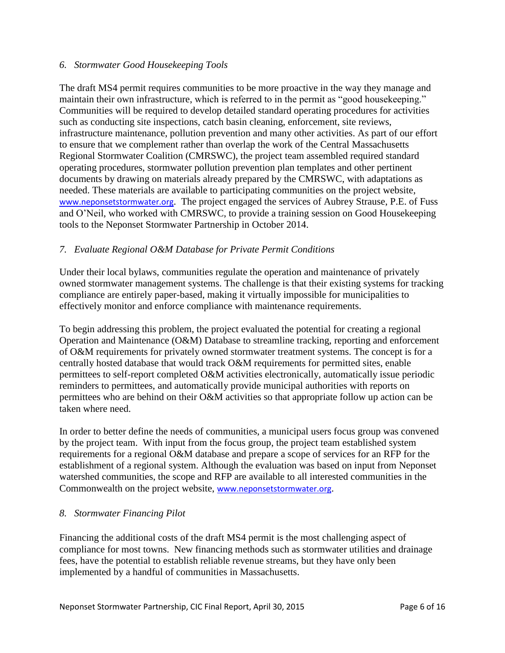#### *6. Stormwater Good Housekeeping Tools*

The draft MS4 permit requires communities to be more proactive in the way they manage and maintain their own infrastructure, which is referred to in the permit as "good housekeeping." Communities will be required to develop detailed standard operating procedures for activities such as conducting site inspections, catch basin cleaning, enforcement, site reviews, infrastructure maintenance, pollution prevention and many other activities. As part of our effort to ensure that we complement rather than overlap the work of the Central Massachusetts Regional Stormwater Coalition (CMRSWC), the project team assembled required standard operating procedures, stormwater pollution prevention plan templates and other pertinent documents by drawing on materials already prepared by the CMRSWC, with adaptations as needed. These materials are available to participating communities on the project website, [www.neponsetstormwater.org](http://www.neponsetstormwater.org/). The project engaged the services of Aubrey Strause, P.E. of Fuss and O'Neil, who worked with CMRSWC, to provide a training session on Good Housekeeping tools to the Neponset Stormwater Partnership in October 2014.

## *7. Evaluate Regional O&M Database for Private Permit Conditions*

Under their local bylaws, communities regulate the operation and maintenance of privately owned stormwater management systems. The challenge is that their existing systems for tracking compliance are entirely paper-based, making it virtually impossible for municipalities to effectively monitor and enforce compliance with maintenance requirements.

To begin addressing this problem, the project evaluated the potential for creating a regional Operation and Maintenance (O&M) Database to streamline tracking, reporting and enforcement of O&M requirements for privately owned stormwater treatment systems. The concept is for a centrally hosted database that would track O&M requirements for permitted sites, enable permittees to self-report completed O&M activities electronically, automatically issue periodic reminders to permittees, and automatically provide municipal authorities with reports on permittees who are behind on their O&M activities so that appropriate follow up action can be taken where need.

In order to better define the needs of communities, a municipal users focus group was convened by the project team. With input from the focus group, the project team established system requirements for a regional O&M database and prepare a scope of services for an RFP for the establishment of a regional system. Although the evaluation was based on input from Neponset watershed communities, the scope and RFP are available to all interested communities in the Commonwealth on the project website, [www.neponsetstormwater.org](http://www.neponsetstormwater.org/).

#### *8. Stormwater Financing Pilot*

Financing the additional costs of the draft MS4 permit is the most challenging aspect of compliance for most towns. New financing methods such as stormwater utilities and drainage fees, have the potential to establish reliable revenue streams, but they have only been implemented by a handful of communities in Massachusetts.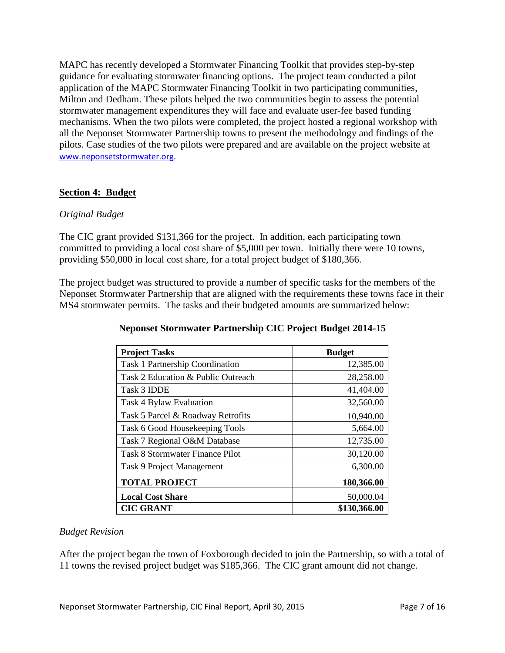MAPC has recently developed a Stormwater Financing Toolkit that provides step-by-step guidance for evaluating stormwater financing options. The project team conducted a pilot application of the MAPC Stormwater Financing Toolkit in two participating communities, Milton and Dedham. These pilots helped the two communities begin to assess the potential stormwater management expenditures they will face and evaluate user-fee based funding mechanisms. When the two pilots were completed, the project hosted a regional workshop with all the Neponset Stormwater Partnership towns to present the methodology and findings of the pilots. Case studies of the two pilots were prepared and are available on the project website at [www.neponsetstormwater.org](http://www.neponsetstormwater.org/).

## **Section 4: Budget**

## *Original Budget*

The CIC grant provided \$131,366 for the project. In addition, each participating town committed to providing a local cost share of \$5,000 per town. Initially there were 10 towns, providing \$50,000 in local cost share, for a total project budget of \$180,366.

The project budget was structured to provide a number of specific tasks for the members of the Neponset Stormwater Partnership that are aligned with the requirements these towns face in their MS4 stormwater permits. The tasks and their budgeted amounts are summarized below:

| <b>Project Tasks</b>                   | <b>Budget</b> |
|----------------------------------------|---------------|
| Task 1 Partnership Coordination        | 12,385.00     |
| Task 2 Education & Public Outreach     | 28,258.00     |
| Task 3 IDDE                            | 41,404.00     |
| Task 4 Bylaw Evaluation                | 32,560.00     |
| Task 5 Parcel & Roadway Retrofits      | 10,940.00     |
| Task 6 Good Housekeeping Tools         | 5,664.00      |
| Task 7 Regional O&M Database           | 12,735.00     |
| <b>Task 8 Stormwater Finance Pilot</b> | 30,120.00     |
| Task 9 Project Management              | 6,300.00      |
| <b>TOTAL PROJECT</b>                   | 180,366.00    |
| <b>Local Cost Share</b>                | 50,000.04     |
| <b>CIC GRANT</b>                       | \$130,366.00  |

## **Neponset Stormwater Partnership CIC Project Budget 2014-15**

## *Budget Revision*

After the project began the town of Foxborough decided to join the Partnership, so with a total of 11 towns the revised project budget was \$185,366. The CIC grant amount did not change.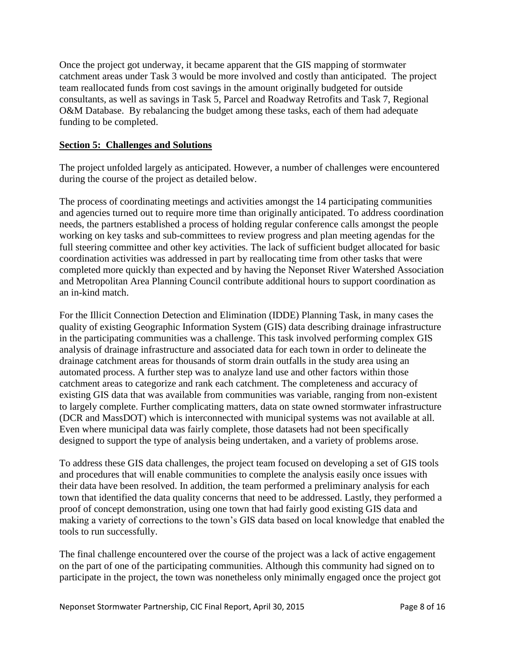Once the project got underway, it became apparent that the GIS mapping of stormwater catchment areas under Task 3 would be more involved and costly than anticipated. The project team reallocated funds from cost savings in the amount originally budgeted for outside consultants, as well as savings in Task 5, Parcel and Roadway Retrofits and Task 7, Regional O&M Database. By rebalancing the budget among these tasks, each of them had adequate funding to be completed.

#### **Section 5: Challenges and Solutions**

The project unfolded largely as anticipated. However, a number of challenges were encountered during the course of the project as detailed below.

The process of coordinating meetings and activities amongst the 14 participating communities and agencies turned out to require more time than originally anticipated. To address coordination needs, the partners established a process of holding regular conference calls amongst the people working on key tasks and sub-committees to review progress and plan meeting agendas for the full steering committee and other key activities. The lack of sufficient budget allocated for basic coordination activities was addressed in part by reallocating time from other tasks that were completed more quickly than expected and by having the Neponset River Watershed Association and Metropolitan Area Planning Council contribute additional hours to support coordination as an in-kind match.

For the Illicit Connection Detection and Elimination (IDDE) Planning Task, in many cases the quality of existing Geographic Information System (GIS) data describing drainage infrastructure in the participating communities was a challenge. This task involved performing complex GIS analysis of drainage infrastructure and associated data for each town in order to delineate the drainage catchment areas for thousands of storm drain outfalls in the study area using an automated process. A further step was to analyze land use and other factors within those catchment areas to categorize and rank each catchment. The completeness and accuracy of existing GIS data that was available from communities was variable, ranging from non-existent to largely complete. Further complicating matters, data on state owned stormwater infrastructure (DCR and MassDOT) which is interconnected with municipal systems was not available at all. Even where municipal data was fairly complete, those datasets had not been specifically designed to support the type of analysis being undertaken, and a variety of problems arose.

To address these GIS data challenges, the project team focused on developing a set of GIS tools and procedures that will enable communities to complete the analysis easily once issues with their data have been resolved. In addition, the team performed a preliminary analysis for each town that identified the data quality concerns that need to be addressed. Lastly, they performed a proof of concept demonstration, using one town that had fairly good existing GIS data and making a variety of corrections to the town's GIS data based on local knowledge that enabled the tools to run successfully.

The final challenge encountered over the course of the project was a lack of active engagement on the part of one of the participating communities. Although this community had signed on to participate in the project, the town was nonetheless only minimally engaged once the project got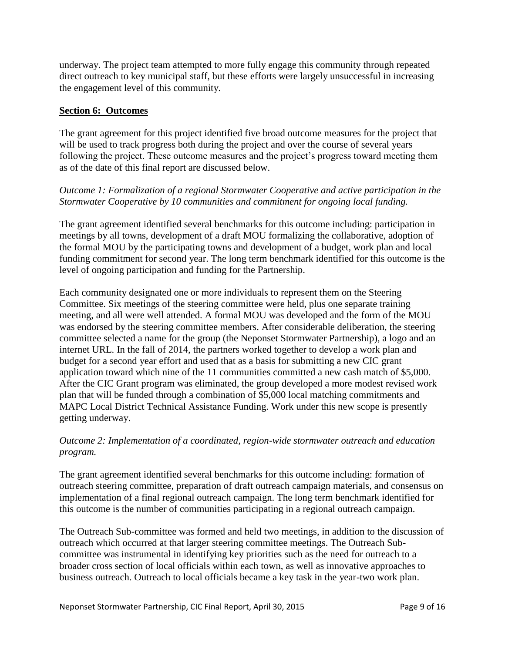underway. The project team attempted to more fully engage this community through repeated direct outreach to key municipal staff, but these efforts were largely unsuccessful in increasing the engagement level of this community.

## **Section 6: Outcomes**

The grant agreement for this project identified five broad outcome measures for the project that will be used to track progress both during the project and over the course of several years following the project. These outcome measures and the project's progress toward meeting them as of the date of this final report are discussed below.

## *Outcome 1: Formalization of a regional Stormwater Cooperative and active participation in the Stormwater Cooperative by 10 communities and commitment for ongoing local funding.*

The grant agreement identified several benchmarks for this outcome including: participation in meetings by all towns, development of a draft MOU formalizing the collaborative, adoption of the formal MOU by the participating towns and development of a budget, work plan and local funding commitment for second year. The long term benchmark identified for this outcome is the level of ongoing participation and funding for the Partnership.

Each community designated one or more individuals to represent them on the Steering Committee. Six meetings of the steering committee were held, plus one separate training meeting, and all were well attended. A formal MOU was developed and the form of the MOU was endorsed by the steering committee members. After considerable deliberation, the steering committee selected a name for the group (the Neponset Stormwater Partnership), a logo and an internet URL. In the fall of 2014, the partners worked together to develop a work plan and budget for a second year effort and used that as a basis for submitting a new CIC grant application toward which nine of the 11 communities committed a new cash match of \$5,000. After the CIC Grant program was eliminated, the group developed a more modest revised work plan that will be funded through a combination of \$5,000 local matching commitments and MAPC Local District Technical Assistance Funding. Work under this new scope is presently getting underway.

## *Outcome 2: Implementation of a coordinated, region-wide stormwater outreach and education program.*

The grant agreement identified several benchmarks for this outcome including: formation of outreach steering committee, preparation of draft outreach campaign materials, and consensus on implementation of a final regional outreach campaign. The long term benchmark identified for this outcome is the number of communities participating in a regional outreach campaign.

The Outreach Sub-committee was formed and held two meetings, in addition to the discussion of outreach which occurred at that larger steering committee meetings. The Outreach Subcommittee was instrumental in identifying key priorities such as the need for outreach to a broader cross section of local officials within each town, as well as innovative approaches to business outreach. Outreach to local officials became a key task in the year-two work plan.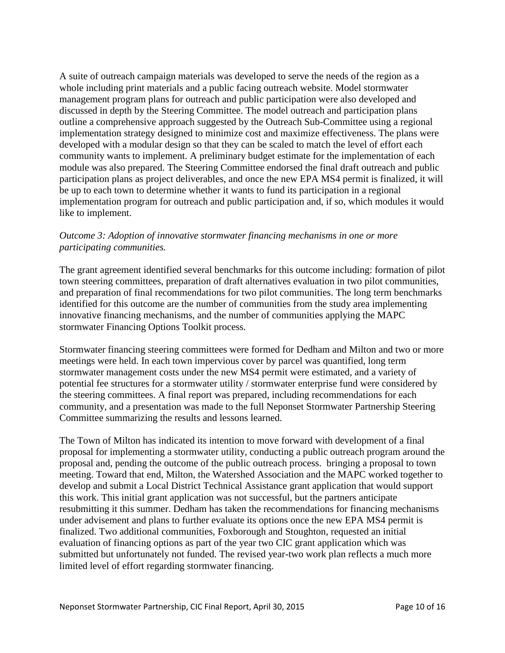A suite of outreach campaign materials was developed to serve the needs of the region as a whole including print materials and a public facing outreach website. Model stormwater management program plans for outreach and public participation were also developed and discussed in depth by the Steering Committee. The model outreach and participation plans outline a comprehensive approach suggested by the Outreach Sub-Committee using a regional implementation strategy designed to minimize cost and maximize effectiveness. The plans were developed with a modular design so that they can be scaled to match the level of effort each community wants to implement. A preliminary budget estimate for the implementation of each module was also prepared. The Steering Committee endorsed the final draft outreach and public participation plans as project deliverables, and once the new EPA MS4 permit is finalized, it will be up to each town to determine whether it wants to fund its participation in a regional implementation program for outreach and public participation and, if so, which modules it would like to implement.

## *Outcome 3: Adoption of innovative stormwater financing mechanisms in one or more participating communities.*

The grant agreement identified several benchmarks for this outcome including: formation of pilot town steering committees, preparation of draft alternatives evaluation in two pilot communities, and preparation of final recommendations for two pilot communities. The long term benchmarks identified for this outcome are the number of communities from the study area implementing innovative financing mechanisms, and the number of communities applying the MAPC stormwater Financing Options Toolkit process.

Stormwater financing steering committees were formed for Dedham and Milton and two or more meetings were held. In each town impervious cover by parcel was quantified, long term stormwater management costs under the new MS4 permit were estimated, and a variety of potential fee structures for a stormwater utility / stormwater enterprise fund were considered by the steering committees. A final report was prepared, including recommendations for each community, and a presentation was made to the full Neponset Stormwater Partnership Steering Committee summarizing the results and lessons learned.

The Town of Milton has indicated its intention to move forward with development of a final proposal for implementing a stormwater utility, conducting a public outreach program around the proposal and, pending the outcome of the public outreach process. bringing a proposal to town meeting. Toward that end, Milton, the Watershed Association and the MAPC worked together to develop and submit a Local District Technical Assistance grant application that would support this work. This initial grant application was not successful, but the partners anticipate resubmitting it this summer. Dedham has taken the recommendations for financing mechanisms under advisement and plans to further evaluate its options once the new EPA MS4 permit is finalized. Two additional communities, Foxborough and Stoughton, requested an initial evaluation of financing options as part of the year two CIC grant application which was submitted but unfortunately not funded. The revised year-two work plan reflects a much more limited level of effort regarding stormwater financing.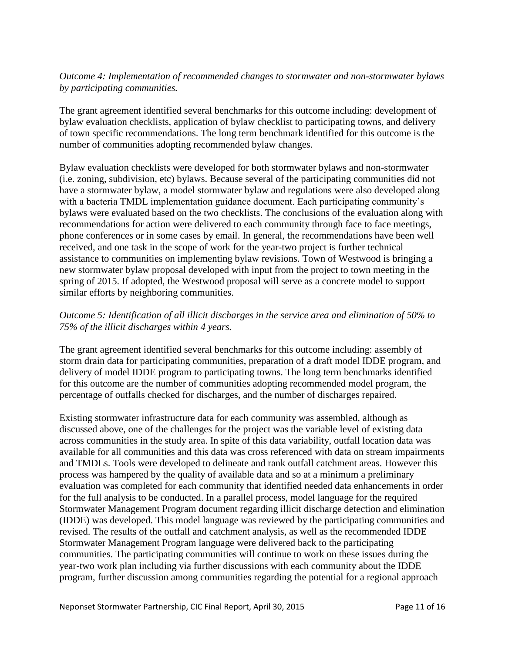## *Outcome 4: Implementation of recommended changes to stormwater and non-stormwater bylaws by participating communities.*

The grant agreement identified several benchmarks for this outcome including: development of bylaw evaluation checklists, application of bylaw checklist to participating towns, and delivery of town specific recommendations. The long term benchmark identified for this outcome is the number of communities adopting recommended bylaw changes.

Bylaw evaluation checklists were developed for both stormwater bylaws and non-stormwater (i.e. zoning, subdivision, etc) bylaws. Because several of the participating communities did not have a stormwater bylaw, a model stormwater bylaw and regulations were also developed along with a bacteria TMDL implementation guidance document. Each participating community's bylaws were evaluated based on the two checklists. The conclusions of the evaluation along with recommendations for action were delivered to each community through face to face meetings, phone conferences or in some cases by email. In general, the recommendations have been well received, and one task in the scope of work for the year-two project is further technical assistance to communities on implementing bylaw revisions. Town of Westwood is bringing a new stormwater bylaw proposal developed with input from the project to town meeting in the spring of 2015. If adopted, the Westwood proposal will serve as a concrete model to support similar efforts by neighboring communities.

## *Outcome 5: Identification of all illicit discharges in the service area and elimination of 50% to 75% of the illicit discharges within 4 years.*

The grant agreement identified several benchmarks for this outcome including: assembly of storm drain data for participating communities, preparation of a draft model IDDE program, and delivery of model IDDE program to participating towns. The long term benchmarks identified for this outcome are the number of communities adopting recommended model program, the percentage of outfalls checked for discharges, and the number of discharges repaired.

Existing stormwater infrastructure data for each community was assembled, although as discussed above, one of the challenges for the project was the variable level of existing data across communities in the study area. In spite of this data variability, outfall location data was available for all communities and this data was cross referenced with data on stream impairments and TMDLs. Tools were developed to delineate and rank outfall catchment areas. However this process was hampered by the quality of available data and so at a minimum a preliminary evaluation was completed for each community that identified needed data enhancements in order for the full analysis to be conducted. In a parallel process, model language for the required Stormwater Management Program document regarding illicit discharge detection and elimination (IDDE) was developed. This model language was reviewed by the participating communities and revised. The results of the outfall and catchment analysis, as well as the recommended IDDE Stormwater Management Program language were delivered back to the participating communities. The participating communities will continue to work on these issues during the year-two work plan including via further discussions with each community about the IDDE program, further discussion among communities regarding the potential for a regional approach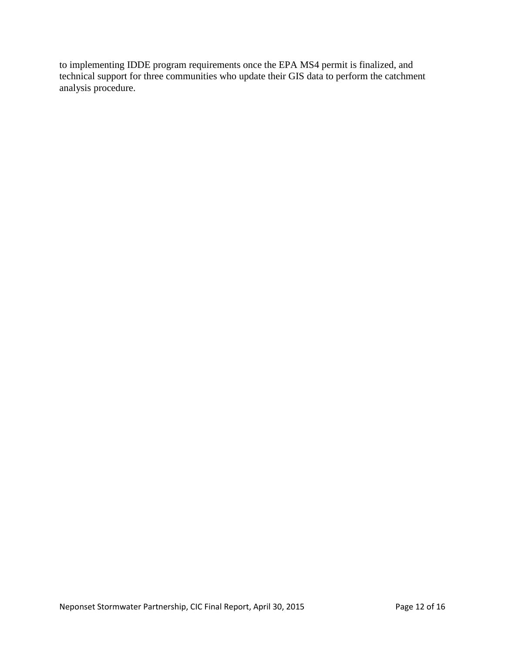to implementing IDDE program requirements once the EPA MS4 permit is finalized, and technical support for three communities who update their GIS data to perform the catchment analysis procedure.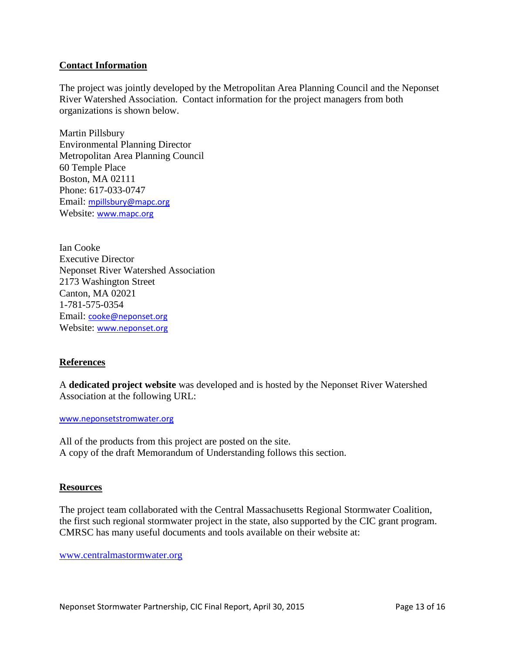#### **Contact Information**

The project was jointly developed by the Metropolitan Area Planning Council and the Neponset River Watershed Association. Contact information for the project managers from both organizations is shown below.

Martin Pillsbury Environmental Planning Director Metropolitan Area Planning Council 60 Temple Place Boston, MA 02111 Phone: 617-033-0747 Email: [mpillsbury@mapc.org](mailto:mpillsbury@mapc.org) Website: [www.mapc.org](http://www.mapc.org/)

Ian Cooke Executive Director Neponset River Watershed Association 2173 Washington Street Canton, MA 02021 1-781-575-0354 Email: [cooke@neponset.org](mailto:cooke@neponset.org) Website: [www.neponset.org](http://www.neponset.org/)

#### **References**

A **dedicated project website** was developed and is hosted by the Neponset River Watershed Association at the following URL:

[www.neponsetstromwater.org](http://www.neponsetstromwater.org/)

All of the products from this project are posted on the site. A copy of the draft Memorandum of Understanding follows this section.

#### **Resources**

The project team collaborated with the Central Massachusetts Regional Stormwater Coalition, the first such regional stormwater project in the state, also supported by the CIC grant program. CMRSC has many useful documents and tools available on their website at:

[www.centralmastormwater.org](http://www.centralmastormwater.org/)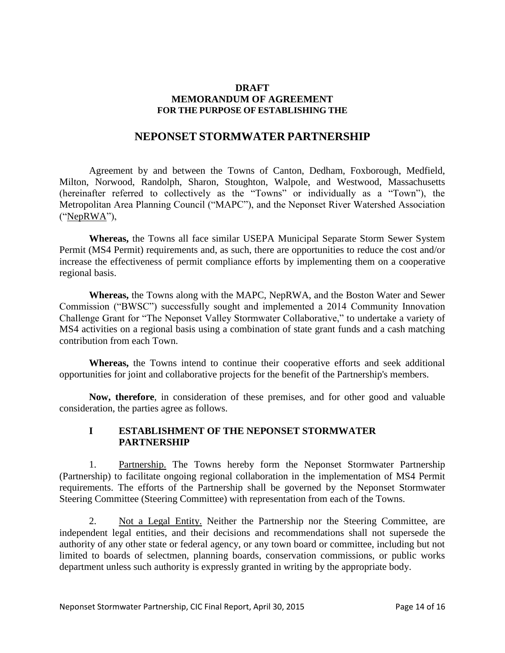#### **DRAFT MEMORANDUM OF AGREEMENT FOR THE PURPOSE OF ESTABLISHING THE**

## **NEPONSET STORMWATER PARTNERSHIP**

Agreement by and between the Towns of Canton, Dedham, Foxborough, Medfield, Milton, Norwood, Randolph, Sharon, Stoughton, Walpole, and Westwood, Massachusetts (hereinafter referred to collectively as the "Towns" or individually as a "Town"), the Metropolitan Area Planning Council ("MAPC"), and the Neponset River Watershed Association ("NepRWA"),

**Whereas,** the Towns all face similar USEPA Municipal Separate Storm Sewer System Permit (MS4 Permit) requirements and, as such, there are opportunities to reduce the cost and/or increase the effectiveness of permit compliance efforts by implementing them on a cooperative regional basis.

**Whereas,** the Towns along with the MAPC, NepRWA, and the Boston Water and Sewer Commission ("BWSC") successfully sought and implemented a 2014 Community Innovation Challenge Grant for "The Neponset Valley Stormwater Collaborative," to undertake a variety of MS4 activities on a regional basis using a combination of state grant funds and a cash matching contribution from each Town.

**Whereas,** the Towns intend to continue their cooperative efforts and seek additional opportunities for joint and collaborative projects for the benefit of the Partnership's members.

**Now, therefore**, in consideration of these premises, and for other good and valuable consideration, the parties agree as follows.

## **I ESTABLISHMENT OF THE NEPONSET STORMWATER PARTNERSHIP**

1. Partnership. The Towns hereby form the Neponset Stormwater Partnership (Partnership) to facilitate ongoing regional collaboration in the implementation of MS4 Permit requirements. The efforts of the Partnership shall be governed by the Neponset Stormwater Steering Committee (Steering Committee) with representation from each of the Towns.

2. Not a Legal Entity. Neither the Partnership nor the Steering Committee, are independent legal entities, and their decisions and recommendations shall not supersede the authority of any other state or federal agency, or any town board or committee, including but not limited to boards of selectmen, planning boards, conservation commissions, or public works department unless such authority is expressly granted in writing by the appropriate body.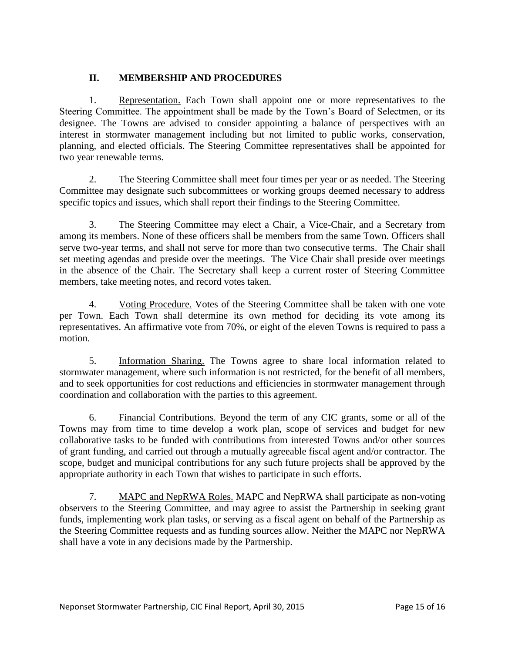## **II. MEMBERSHIP AND PROCEDURES**

1. Representation. Each Town shall appoint one or more representatives to the Steering Committee. The appointment shall be made by the Town's Board of Selectmen, or its designee. The Towns are advised to consider appointing a balance of perspectives with an interest in stormwater management including but not limited to public works, conservation, planning, and elected officials. The Steering Committee representatives shall be appointed for two year renewable terms.

2. The Steering Committee shall meet four times per year or as needed. The Steering Committee may designate such subcommittees or working groups deemed necessary to address specific topics and issues, which shall report their findings to the Steering Committee.

3. The Steering Committee may elect a Chair, a Vice-Chair, and a Secretary from among its members. None of these officers shall be members from the same Town. Officers shall serve two-year terms, and shall not serve for more than two consecutive terms. The Chair shall set meeting agendas and preside over the meetings. The Vice Chair shall preside over meetings in the absence of the Chair. The Secretary shall keep a current roster of Steering Committee members, take meeting notes, and record votes taken.

4. Voting Procedure. Votes of the Steering Committee shall be taken with one vote per Town. Each Town shall determine its own method for deciding its vote among its representatives. An affirmative vote from 70%, or eight of the eleven Towns is required to pass a motion.

5. Information Sharing. The Towns agree to share local information related to stormwater management, where such information is not restricted, for the benefit of all members, and to seek opportunities for cost reductions and efficiencies in stormwater management through coordination and collaboration with the parties to this agreement.

6. Financial Contributions. Beyond the term of any CIC grants, some or all of the Towns may from time to time develop a work plan, scope of services and budget for new collaborative tasks to be funded with contributions from interested Towns and/or other sources of grant funding, and carried out through a mutually agreeable fiscal agent and/or contractor. The scope, budget and municipal contributions for any such future projects shall be approved by the appropriate authority in each Town that wishes to participate in such efforts.

7. MAPC and NepRWA Roles. MAPC and NepRWA shall participate as non-voting observers to the Steering Committee, and may agree to assist the Partnership in seeking grant funds, implementing work plan tasks, or serving as a fiscal agent on behalf of the Partnership as the Steering Committee requests and as funding sources allow. Neither the MAPC nor NepRWA shall have a vote in any decisions made by the Partnership.